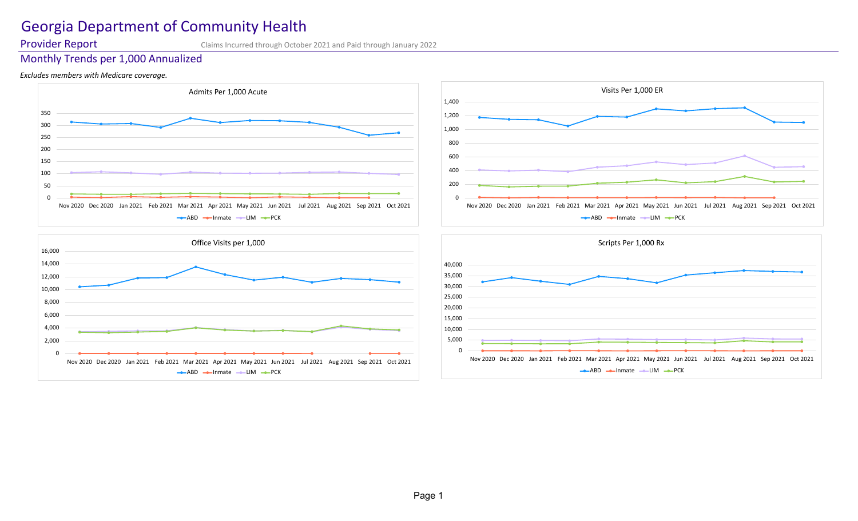# Georgia Department of Community Health

Provider Report Claims Incurred through October 2021 and Paid through January 2022

# Monthly Trends per 1,000 Annualized

# *Excludes members with Medicare coverage.*